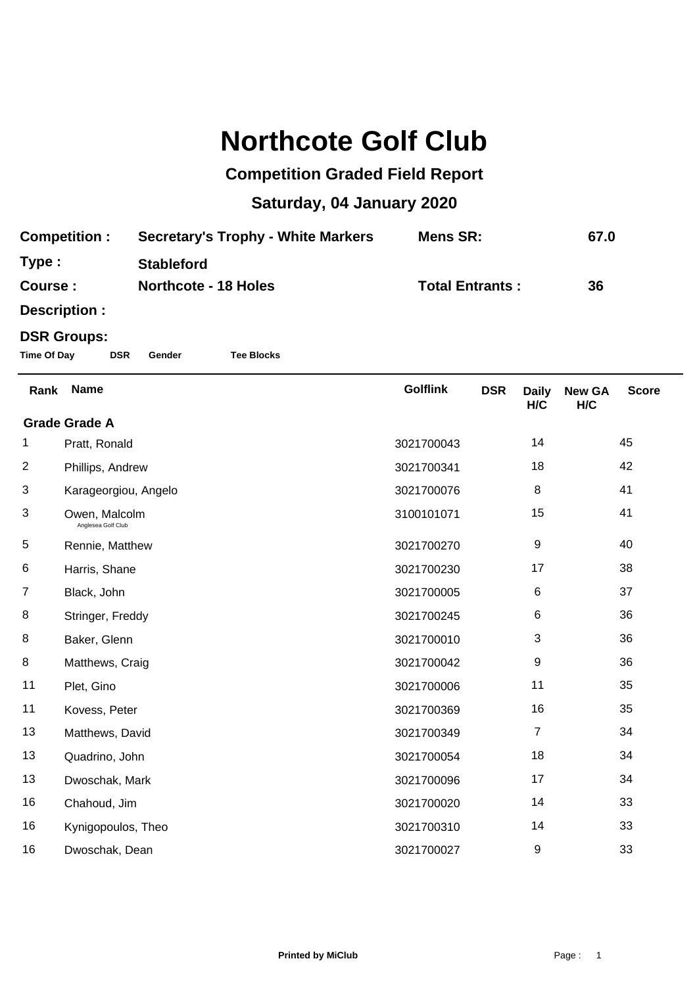## **Northcote Golf Club**

## **Competition Graded Field Report**

## **Saturday, 04 January 2020**

| <b>Competition:</b> | <b>Secretary's Trophy - White Markers</b> | Mens SR:               | 67.0 |
|---------------------|-------------------------------------------|------------------------|------|
| Type:               | <b>Stableford</b>                         |                        |      |
| Course:             | <b>Northcote - 18 Holes</b>               | <b>Total Entrants:</b> | 36   |

**Description :**

## **DSR Groups:**

**Time Of Day DSR Gender Tee Blocks**

| Rank                 | <b>Name</b>                         | <b>Golflink</b> | <b>DSR</b> | <b>Daily</b><br>H/C | <b>New GA</b><br>H/C | <b>Score</b> |  |
|----------------------|-------------------------------------|-----------------|------------|---------------------|----------------------|--------------|--|
| <b>Grade Grade A</b> |                                     |                 |            |                     |                      |              |  |
| 1.                   | Pratt, Ronald                       | 3021700043      |            | 14                  |                      | 45           |  |
| $\overline{2}$       | Phillips, Andrew                    | 3021700341      |            | 18                  |                      | 42           |  |
| 3                    | Karageorgiou, Angelo                | 3021700076      |            | 8                   |                      | 41           |  |
| 3                    | Owen, Malcolm<br>Anglesea Golf Club | 3100101071      |            | 15                  |                      | 41           |  |
| 5                    | Rennie, Matthew                     | 3021700270      |            | $\boldsymbol{9}$    |                      | 40           |  |
| 6                    | Harris, Shane                       | 3021700230      |            | 17                  |                      | 38           |  |
| $\overline{7}$       | Black, John                         | 3021700005      |            | 6                   |                      | 37           |  |
| 8                    | Stringer, Freddy                    | 3021700245      |            | 6                   |                      | 36           |  |
| 8                    | Baker, Glenn                        | 3021700010      |            | 3                   |                      | 36           |  |
| 8                    | Matthews, Craig                     | 3021700042      |            | 9                   |                      | 36           |  |
| 11                   | Plet, Gino                          | 3021700006      |            | 11                  |                      | 35           |  |
| 11                   | Kovess, Peter                       | 3021700369      |            | 16                  |                      | 35           |  |
| 13                   | Matthews, David                     | 3021700349      |            | 7                   |                      | 34           |  |
| 13                   | Quadrino, John                      | 3021700054      |            | 18                  |                      | 34           |  |
| 13                   | Dwoschak, Mark                      | 3021700096      |            | 17                  |                      | 34           |  |
| 16                   | Chahoud, Jim                        | 3021700020      |            | 14                  |                      | 33           |  |
| 16                   | Kynigopoulos, Theo                  | 3021700310      |            | 14                  |                      | 33           |  |
| 16                   | Dwoschak, Dean                      | 3021700027      |            | 9                   |                      | 33           |  |